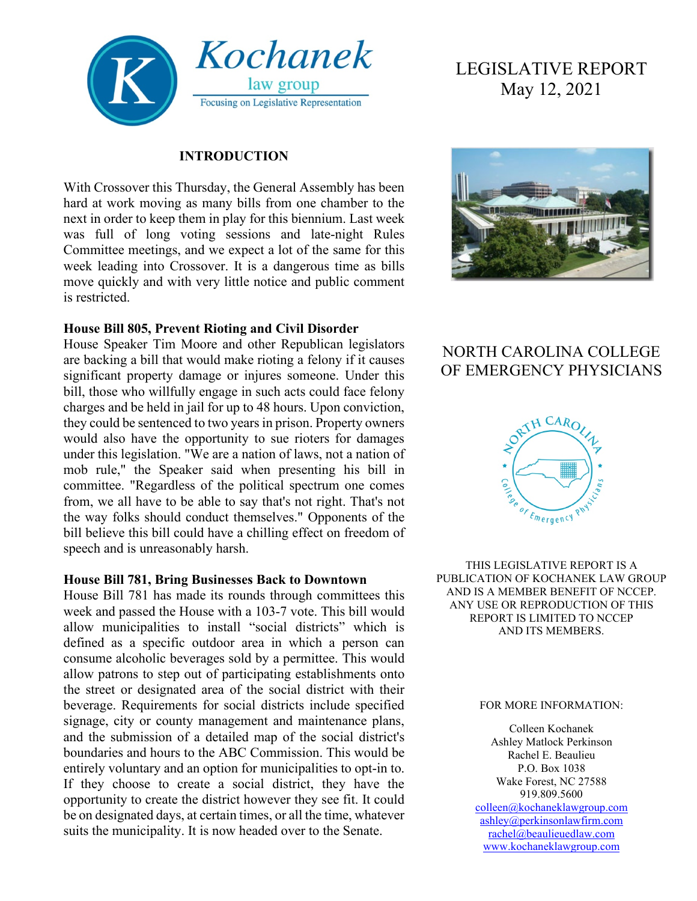

#### **INTRODUCTION**

With Crossover this Thursday, the General Assembly has been hard at work moving as many bills from one chamber to the next in order to keep them in play for this biennium. Last week was full of long voting sessions and late-night Rules Committee meetings, and we expect a lot of the same for this week leading into Crossover. It is a dangerous time as bills move quickly and with very little notice and public comment is restricted.

#### **House Bill 805, Prevent Rioting and Civil Disorder**

House Speaker Tim Moore and other Republican legislators are backing a bill that would make rioting a felony if it causes significant property damage or injures someone. Under this bill, those who willfully engage in such acts could face felony charges and be held in jail for up to 48 hours. Upon conviction, they could be sentenced to two years in prison. Property owners would also have the opportunity to sue rioters for damages under this legislation. "We are a nation of laws, not a nation of mob rule," the Speaker said when presenting his bill in committee. "Regardless of the political spectrum one comes from, we all have to be able to say that's not right. That's not the way folks should conduct themselves." Opponents of the bill believe this bill could have a chilling effect on freedom of speech and is unreasonably harsh.

#### **House Bill 781, Bring Businesses Back to Downtown**

House Bill 781 has made its rounds through committees this week and passed the House with a 103-7 vote. This bill would allow municipalities to install "social districts" which is defined as a specific outdoor area in which a person can consume alcoholic beverages sold by a permittee. This would allow patrons to step out of participating establishments onto the street or designated area of the social district with their beverage. Requirements for social districts include specified signage, city or county management and maintenance plans, and the submission of a detailed map of the social district's boundaries and hours to the ABC Commission. This would be entirely voluntary and an option for municipalities to opt-in to. If they choose to create a social district, they have the opportunity to create the district however they see fit. It could be on designated days, at certain times, or all the time, whatever suits the municipality. It is now headed over to the Senate.

# LEGISLATIVE REPORT May 12, 2021



## NORTH CAROLINA COLLEGE OF EMERGENCY PHYSICIANS



THIS LEGISLATIVE REPORT IS A PUBLICATION OF KOCHANEK LAW GROUP AND IS A MEMBER BENEFIT OF NCCEP. ANY USE OR REPRODUCTION OF THIS REPORT IS LIMITED TO NCCEP AND ITS MEMBERS.

#### FOR MORE INFORMATION:

Colleen Kochanek Ashley Matlock Perkinson Rachel E. Beaulieu P.O. Box 1038 Wake Forest, NC 27588 919.809.5600 [colleen@kochaneklawgroup.com](mailto:colleen@kochaneklawgroup.com) [ashley@perkinsonlawfirm.com](mailto:ashley@perkinsonlawfirm.com)

[rachel@beaulieuedlaw.com](mailto:rachel@beaulieuedlaw.com) [www.kochaneklawgroup.com](http://www.kochaneklawgroup.com/)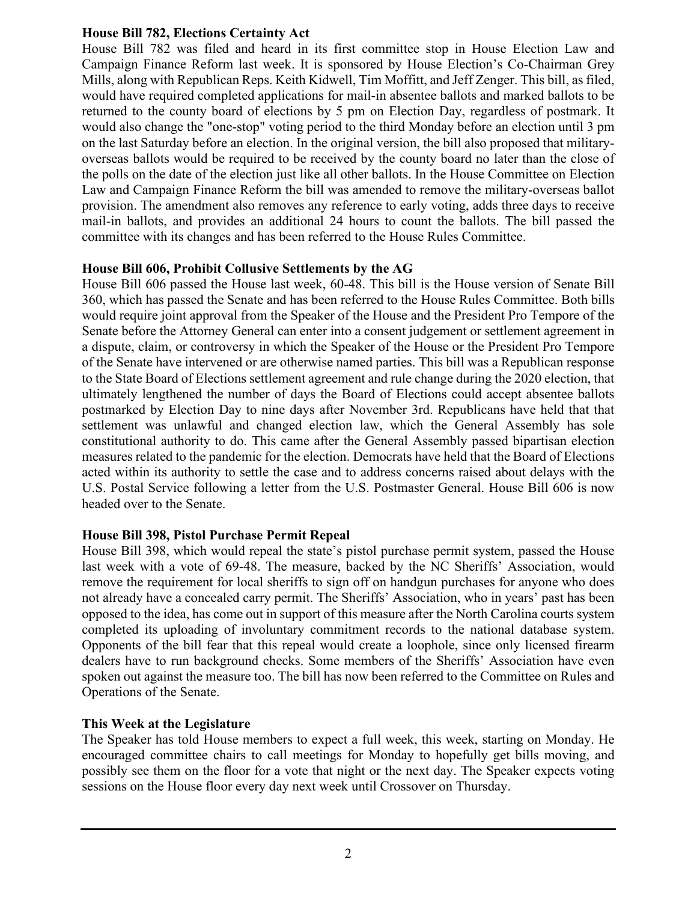#### **House Bill 782, Elections Certainty Act**

House Bill 782 was filed and heard in its first committee stop in House Election Law and Campaign Finance Reform last week. It is sponsored by House Election's Co-Chairman Grey Mills, along with Republican Reps. Keith Kidwell, Tim Moffitt, and Jeff Zenger. This bill, as filed, would have required completed applications for mail-in absentee ballots and marked ballots to be returned to the county board of elections by 5 pm on Election Day, regardless of postmark. It would also change the "one-stop" voting period to the third Monday before an election until 3 pm on the last Saturday before an election. In the original version, the bill also proposed that militaryoverseas ballots would be required to be received by the county board no later than the close of the polls on the date of the election just like all other ballots. In the House Committee on Election Law and Campaign Finance Reform the bill was amended to remove the military-overseas ballot provision. The amendment also removes any reference to early voting, adds three days to receive mail-in ballots, and provides an additional 24 hours to count the ballots. The bill passed the committee with its changes and has been referred to the House Rules Committee.

#### **House Bill 606, Prohibit Collusive Settlements by the AG**

House Bill 606 passed the House last week, 60-48. This bill is the House version of Senate Bill 360, which has passed the Senate and has been referred to the House Rules Committee. Both bills would require joint approval from the Speaker of the House and the President Pro Tempore of the Senate before the Attorney General can enter into a consent judgement or settlement agreement in a dispute, claim, or controversy in which the Speaker of the House or the President Pro Tempore of the Senate have intervened or are otherwise named parties. This bill was a Republican response to the State Board of Elections settlement agreement and rule change during the 2020 election, that ultimately lengthened the number of days the Board of Elections could accept absentee ballots postmarked by Election Day to nine days after November 3rd. Republicans have held that that settlement was unlawful and changed election law, which the General Assembly has sole constitutional authority to do. This came after the General Assembly passed bipartisan election measures related to the pandemic for the election. Democrats have held that the Board of Elections acted within its authority to settle the case and to address concerns raised about delays with the U.S. Postal Service following a letter from the U.S. Postmaster General. House Bill 606 is now headed over to the Senate.

#### **House Bill 398, Pistol Purchase Permit Repeal**

House Bill 398, which would repeal the state's pistol purchase permit system, passed the House last week with a vote of 69-48. The measure, backed by the NC Sheriffs' Association, would remove the requirement for local sheriffs to sign off on handgun purchases for anyone who does not already have a concealed carry permit. The Sheriffs' Association, who in years' past has been opposed to the idea, has come out in support of this measure after the North Carolina courts system completed its uploading of involuntary commitment records to the national database system. Opponents of the bill fear that this repeal would create a loophole, since only licensed firearm dealers have to run background checks. Some members of the Sheriffs' Association have even spoken out against the measure too. The bill has now been referred to the Committee on Rules and Operations of the Senate.

#### **This Week at the Legislature**

The Speaker has told House members to expect a full week, this week, starting on Monday. He encouraged committee chairs to call meetings for Monday to hopefully get bills moving, and possibly see them on the floor for a vote that night or the next day. The Speaker expects voting sessions on the House floor every day next week until Crossover on Thursday.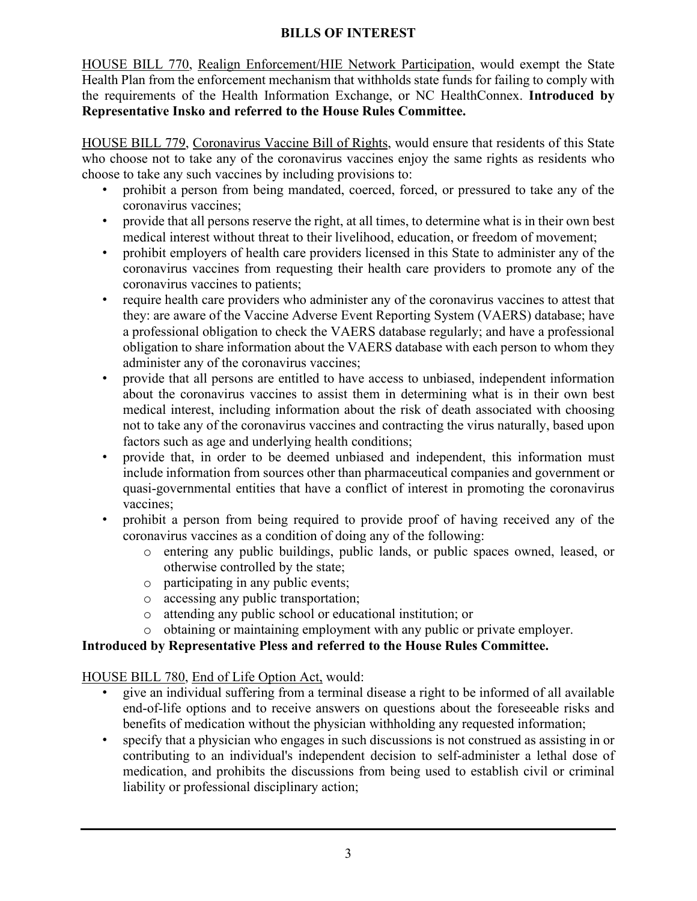### **BILLS OF INTEREST**

HOUSE BILL 770, Realign Enforcement/HIE Network Participation, would exempt the State Health Plan from the enforcement mechanism that withholds state funds for failing to comply with the requirements of the Health Information Exchange, or NC HealthConnex. **Introduced by Representative Insko and referred to the House Rules Committee.**

HOUSE BILL 779, Coronavirus Vaccine Bill of Rights, would ensure that residents of this State who choose not to take any of the coronavirus vaccines enjoy the same rights as residents who choose to take any such vaccines by including provisions to:

- prohibit a person from being mandated, coerced, forced, or pressured to take any of the coronavirus vaccines;
- provide that all persons reserve the right, at all times, to determine what is in their own best medical interest without threat to their livelihood, education, or freedom of movement;
- prohibit employers of health care providers licensed in this State to administer any of the coronavirus vaccines from requesting their health care providers to promote any of the coronavirus vaccines to patients;
- require health care providers who administer any of the coronavirus vaccines to attest that they: are aware of the Vaccine Adverse Event Reporting System (VAERS) database; have a professional obligation to check the VAERS database regularly; and have a professional obligation to share information about the VAERS database with each person to whom they administer any of the coronavirus vaccines;
- provide that all persons are entitled to have access to unbiased, independent information about the coronavirus vaccines to assist them in determining what is in their own best medical interest, including information about the risk of death associated with choosing not to take any of the coronavirus vaccines and contracting the virus naturally, based upon factors such as age and underlying health conditions;
- provide that, in order to be deemed unbiased and independent, this information must include information from sources other than pharmaceutical companies and government or quasi-governmental entities that have a conflict of interest in promoting the coronavirus vaccines;
- prohibit a person from being required to provide proof of having received any of the coronavirus vaccines as a condition of doing any of the following:
	- o entering any public buildings, public lands, or public spaces owned, leased, or otherwise controlled by the state;
	- o participating in any public events;
	- o accessing any public transportation;
	- o attending any public school or educational institution; or
	- o obtaining or maintaining employment with any public or private employer.

## **Introduced by Representative Pless and referred to the House Rules Committee.**

### HOUSE BILL 780, End of Life Option Act, would:

- give an individual suffering from a terminal disease a right to be informed of all available end-of-life options and to receive answers on questions about the foreseeable risks and benefits of medication without the physician withholding any requested information;
- specify that a physician who engages in such discussions is not construed as assisting in or contributing to an individual's independent decision to self-administer a lethal dose of medication, and prohibits the discussions from being used to establish civil or criminal liability or professional disciplinary action;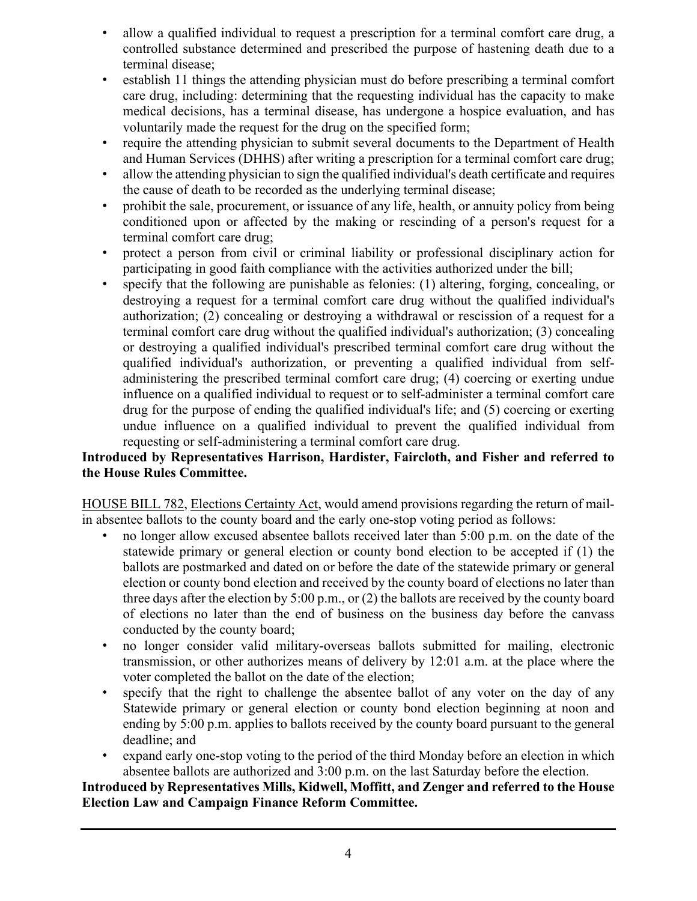- allow a qualified individual to request a prescription for a terminal comfort care drug, a controlled substance determined and prescribed the purpose of hastening death due to a terminal disease;
- establish 11 things the attending physician must do before prescribing a terminal comfort care drug, including: determining that the requesting individual has the capacity to make medical decisions, has a terminal disease, has undergone a hospice evaluation, and has voluntarily made the request for the drug on the specified form;
- require the attending physician to submit several documents to the Department of Health and Human Services (DHHS) after writing a prescription for a terminal comfort care drug;
- allow the attending physician to sign the qualified individual's death certificate and requires the cause of death to be recorded as the underlying terminal disease;
- prohibit the sale, procurement, or issuance of any life, health, or annuity policy from being conditioned upon or affected by the making or rescinding of a person's request for a terminal comfort care drug;
- protect a person from civil or criminal liability or professional disciplinary action for participating in good faith compliance with the activities authorized under the bill;
- specify that the following are punishable as felonies: (1) altering, forging, concealing, or destroying a request for a terminal comfort care drug without the qualified individual's authorization; (2) concealing or destroying a withdrawal or rescission of a request for a terminal comfort care drug without the qualified individual's authorization; (3) concealing or destroying a qualified individual's prescribed terminal comfort care drug without the qualified individual's authorization, or preventing a qualified individual from selfadministering the prescribed terminal comfort care drug; (4) coercing or exerting undue influence on a qualified individual to request or to self-administer a terminal comfort care drug for the purpose of ending the qualified individual's life; and (5) coercing or exerting undue influence on a qualified individual to prevent the qualified individual from requesting or self-administering a terminal comfort care drug.

### **Introduced by Representatives Harrison, Hardister, Faircloth, and Fisher and referred to the House Rules Committee.**

HOUSE BILL 782, Elections Certainty Act, would amend provisions regarding the return of mailin absentee ballots to the county board and the early one-stop voting period as follows:

- no longer allow excused absentee ballots received later than 5:00 p.m. on the date of the statewide primary or general election or county bond election to be accepted if (1) the ballots are postmarked and dated on or before the date of the statewide primary or general election or county bond election and received by the county board of elections no later than three days after the election by 5:00 p.m., or (2) the ballots are received by the county board of elections no later than the end of business on the business day before the canvass conducted by the county board;
- no longer consider valid military-overseas ballots submitted for mailing, electronic transmission, or other authorizes means of delivery by 12:01 a.m. at the place where the voter completed the ballot on the date of the election;
- specify that the right to challenge the absentee ballot of any voter on the day of any Statewide primary or general election or county bond election beginning at noon and ending by 5:00 p.m. applies to ballots received by the county board pursuant to the general deadline; and
- expand early one-stop voting to the period of the third Monday before an election in which absentee ballots are authorized and 3:00 p.m. on the last Saturday before the election.

#### **Introduced by Representatives Mills, Kidwell, Moffitt, and Zenger and referred to the House Election Law and Campaign Finance Reform Committee.**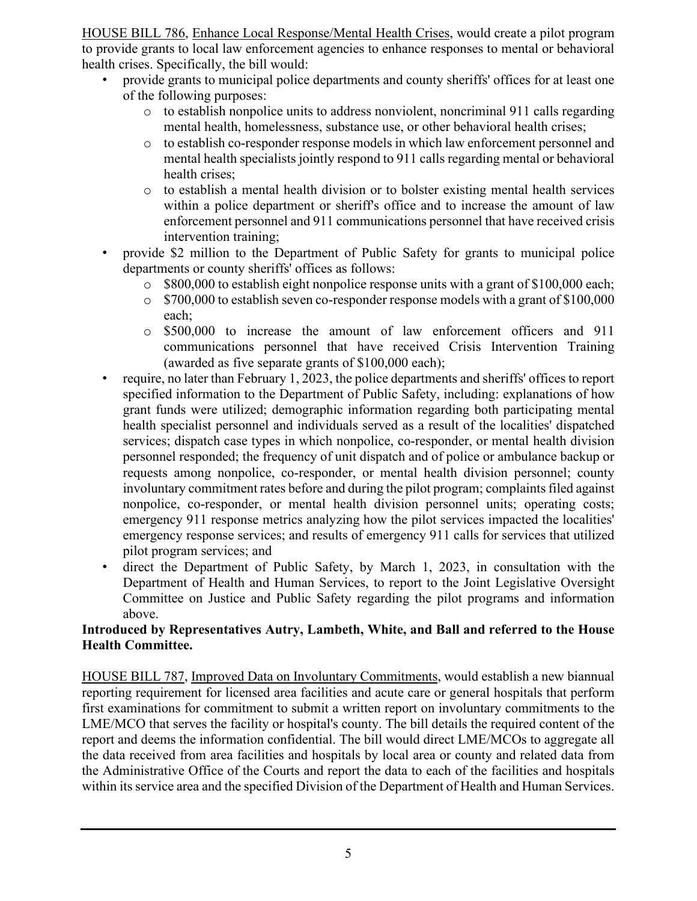HOUSE BILL 786, Enhance Local Response/Mental Health Crises, would create a pilot program to provide grants to local law enforcement agencies to enhance responses to mental or behavioral health crises. Specifically, the bill would:

- provide grants to municipal police departments and county sheriffs' offices for at least one of the following purposes:
	- $\circ$  to establish nonpolice units to address nonviolent, noncriminal 911 calls regarding mental health, homelessness, substance use, or other behavioral health crises;
	- o to establish co-responder response models in which law enforcement personnel and mental health specialists jointly respond to 911 calls regarding mental or behavioral health crises;
	- o to establish a mental health division or to bolster existing mental health services within a police department or sheriff's office and to increase the amount of law enforcement personnel and 911 communications personnel that have received crisis intervention training;
- provide \$2 million to the Department of Public Safety for grants to municipal police departments or county sheriffs' offices as follows:
	- o \$800,000 to establish eight nonpolice response units with a grant of \$100,000 each;
	- o \$700,000 to establish seven co-responder response models with a grant of \$100,000 each;
	- o \$500,000 to increase the amount of law enforcement officers and 911 communications personnel that have received Crisis Intervention Training (awarded as five separate grants of \$100,000 each);
- require, no later than February 1, 2023, the police departments and sheriffs' offices to report specified information to the Department of Public Safety, including: explanations of how grant funds were utilized; demographic information regarding both participating mental health specialist personnel and individuals served as a result of the localities' dispatched services; dispatch case types in which nonpolice, co-responder, or mental health division personnel responded; the frequency of unit dispatch and of police or ambulance backup or requests among nonpolice, co-responder, or mental health division personnel; county involuntary commitment rates before and during the pilot program; complaints filed against nonpolice, co-responder, or mental health division personnel units; operating costs; emergency 911 response metrics analyzing how the pilot services impacted the localities' emergency response services; and results of emergency 911 calls for services that utilized pilot program services; and
- direct the Department of Public Safety, by March 1, 2023, in consultation with the Department of Health and Human Services, to report to the Joint Legislative Oversight Committee on Justice and Public Safety regarding the pilot programs and information above.

#### **Introduced by Representatives Autry, Lambeth, White, and Ball and referred to the House Health Committee.**

HOUSE BILL 787, Improved Data on Involuntary Commitments, would establish a new biannual reporting requirement for licensed area facilities and acute care or general hospitals that perform first examinations for commitment to submit a written report on involuntary commitments to the LME/MCO that serves the facility or hospital's county. The bill details the required content of the report and deems the information confidential. The bill would direct LME/MCOs to aggregate all the data received from area facilities and hospitals by local area or county and related data from the Administrative Office of the Courts and report the data to each of the facilities and hospitals within its service area and the specified Division of the Department of Health and Human Services.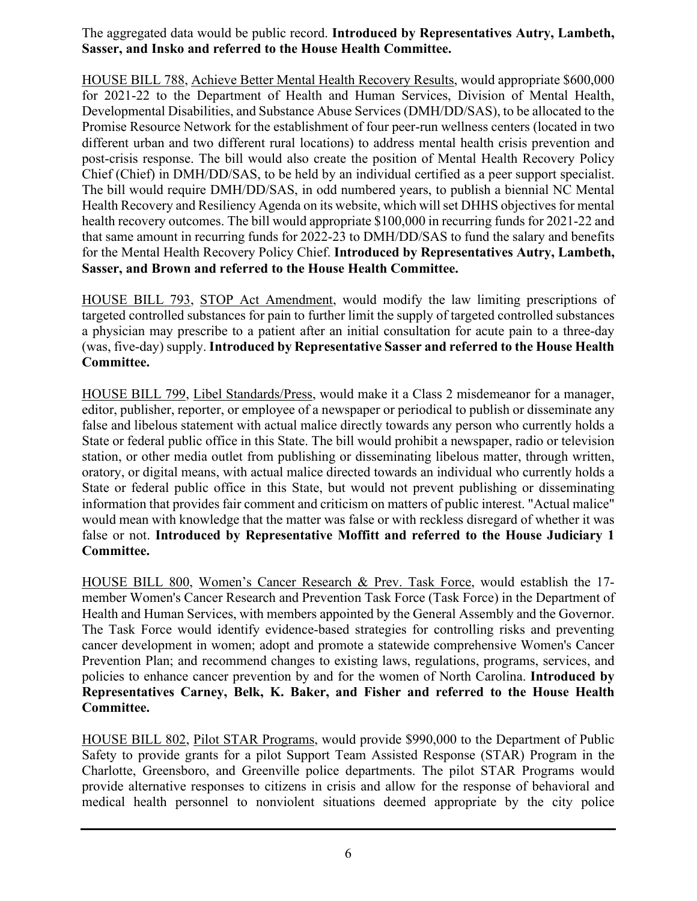The aggregated data would be public record. **Introduced by Representatives Autry, Lambeth, Sasser, and Insko and referred to the House Health Committee.**

HOUSE BILL 788, Achieve Better Mental Health Recovery Results, would appropriate \$600,000 for 2021-22 to the Department of Health and Human Services, Division of Mental Health, Developmental Disabilities, and Substance Abuse Services (DMH/DD/SAS), to be allocated to the Promise Resource Network for the establishment of four peer-run wellness centers (located in two different urban and two different rural locations) to address mental health crisis prevention and post-crisis response. The bill would also create the position of Mental Health Recovery Policy Chief (Chief) in DMH/DD/SAS, to be held by an individual certified as a peer support specialist. The bill would require DMH/DD/SAS, in odd numbered years, to publish a biennial NC Mental Health Recovery and Resiliency Agenda on its website, which will set DHHS objectives for mental health recovery outcomes. The bill would appropriate \$100,000 in recurring funds for 2021-22 and that same amount in recurring funds for 2022-23 to DMH/DD/SAS to fund the salary and benefits for the Mental Health Recovery Policy Chief. **Introduced by Representatives Autry, Lambeth, Sasser, and Brown and referred to the House Health Committee.**

HOUSE BILL 793, STOP Act Amendment, would modify the law limiting prescriptions of targeted controlled substances for pain to further limit the supply of targeted controlled substances a physician may prescribe to a patient after an initial consultation for acute pain to a three-day (was, five-day) supply. **Introduced by Representative Sasser and referred to the House Health Committee.**

HOUSE BILL 799, Libel Standards/Press, would make it a Class 2 misdemeanor for a manager, editor, publisher, reporter, or employee of a newspaper or periodical to publish or disseminate any false and libelous statement with actual malice directly towards any person who currently holds a State or federal public office in this State. The bill would prohibit a newspaper, radio or television station, or other media outlet from publishing or disseminating libelous matter, through written, oratory, or digital means, with actual malice directed towards an individual who currently holds a State or federal public office in this State, but would not prevent publishing or disseminating information that provides fair comment and criticism on matters of public interest. "Actual malice" would mean with knowledge that the matter was false or with reckless disregard of whether it was false or not. **Introduced by Representative Moffitt and referred to the House Judiciary 1 Committee.**

HOUSE BILL 800, Women's Cancer Research & Prev. Task Force, would establish the 17 member Women's Cancer Research and Prevention Task Force (Task Force) in the Department of Health and Human Services, with members appointed by the General Assembly and the Governor. The Task Force would identify evidence-based strategies for controlling risks and preventing cancer development in women; adopt and promote a statewide comprehensive Women's Cancer Prevention Plan; and recommend changes to existing laws, regulations, programs, services, and policies to enhance cancer prevention by and for the women of North Carolina. **Introduced by Representatives Carney, Belk, K. Baker, and Fisher and referred to the House Health Committee.**

HOUSE BILL 802, Pilot STAR Programs, would provide \$990,000 to the Department of Public Safety to provide grants for a pilot Support Team Assisted Response (STAR) Program in the Charlotte, Greensboro, and Greenville police departments. The pilot STAR Programs would provide alternative responses to citizens in crisis and allow for the response of behavioral and medical health personnel to nonviolent situations deemed appropriate by the city police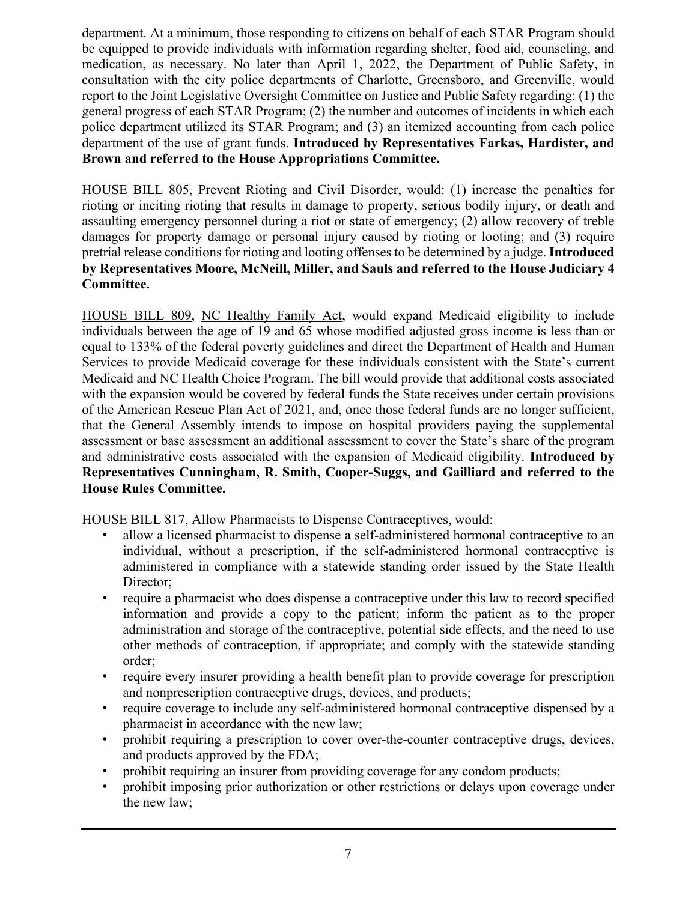department. At a minimum, those responding to citizens on behalf of each STAR Program should be equipped to provide individuals with information regarding shelter, food aid, counseling, and medication, as necessary. No later than April 1, 2022, the Department of Public Safety, in consultation with the city police departments of Charlotte, Greensboro, and Greenville, would report to the Joint Legislative Oversight Committee on Justice and Public Safety regarding: (1) the general progress of each STAR Program; (2) the number and outcomes of incidents in which each police department utilized its STAR Program; and (3) an itemized accounting from each police department of the use of grant funds. **Introduced by Representatives Farkas, Hardister, and Brown and referred to the House Appropriations Committee.**

HOUSE BILL 805, Prevent Rioting and Civil Disorder, would: (1) increase the penalties for rioting or inciting rioting that results in damage to property, serious bodily injury, or death and assaulting emergency personnel during a riot or state of emergency; (2) allow recovery of treble damages for property damage or personal injury caused by rioting or looting; and (3) require pretrial release conditions for rioting and looting offenses to be determined by a judge. **Introduced by Representatives Moore, McNeill, Miller, and Sauls and referred to the House Judiciary 4 Committee.**

HOUSE BILL 809, NC Healthy Family Act, would expand Medicaid eligibility to include individuals between the age of 19 and 65 whose modified adjusted gross income is less than or equal to 133% of the federal poverty guidelines and direct the Department of Health and Human Services to provide Medicaid coverage for these individuals consistent with the State's current Medicaid and NC Health Choice Program. The bill would provide that additional costs associated with the expansion would be covered by federal funds the State receives under certain provisions of the American Rescue Plan Act of 2021, and, once those federal funds are no longer sufficient, that the General Assembly intends to impose on hospital providers paying the supplemental assessment or base assessment an additional assessment to cover the State's share of the program and administrative costs associated with the expansion of Medicaid eligibility. **Introduced by Representatives Cunningham, R. Smith, Cooper-Suggs, and Gailliard and referred to the House Rules Committee.**

HOUSE BILL 817, Allow Pharmacists to Dispense Contraceptives, would:

- allow a licensed pharmacist to dispense a self-administered hormonal contraceptive to an individual, without a prescription, if the self-administered hormonal contraceptive is administered in compliance with a statewide standing order issued by the State Health Director;
- require a pharmacist who does dispense a contraceptive under this law to record specified information and provide a copy to the patient; inform the patient as to the proper administration and storage of the contraceptive, potential side effects, and the need to use other methods of contraception, if appropriate; and comply with the statewide standing order;
- require every insurer providing a health benefit plan to provide coverage for prescription and nonprescription contraceptive drugs, devices, and products;
- require coverage to include any self-administered hormonal contraceptive dispensed by a pharmacist in accordance with the new law;
- prohibit requiring a prescription to cover over-the-counter contraceptive drugs, devices, and products approved by the FDA;
- prohibit requiring an insurer from providing coverage for any condom products;
- prohibit imposing prior authorization or other restrictions or delays upon coverage under the new law;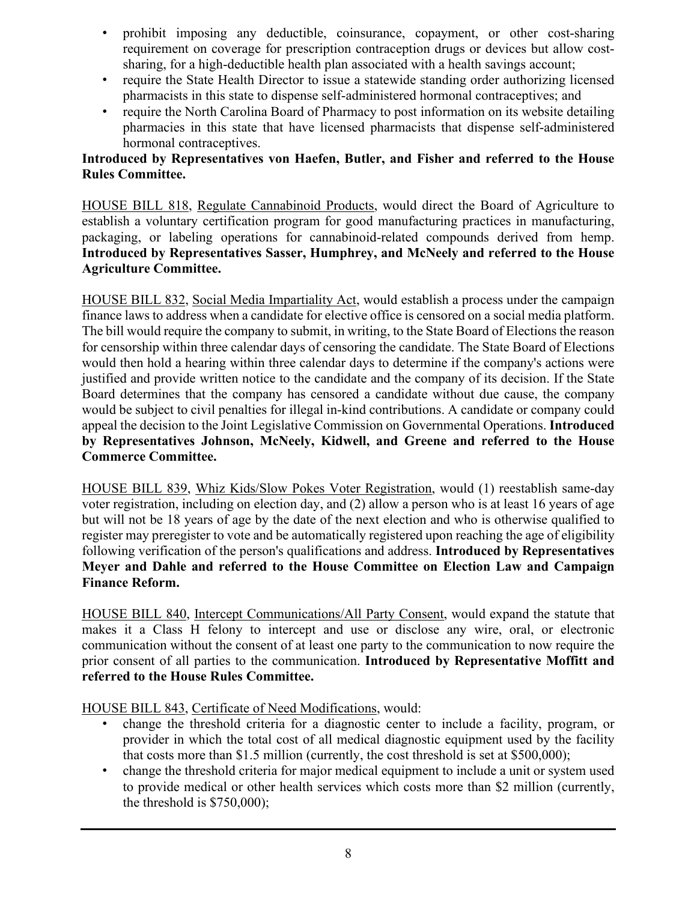- prohibit imposing any deductible, coinsurance, copayment, or other cost-sharing requirement on coverage for prescription contraception drugs or devices but allow costsharing, for a high-deductible health plan associated with a health savings account;
- require the State Health Director to issue a statewide standing order authorizing licensed pharmacists in this state to dispense self-administered hormonal contraceptives; and
- require the North Carolina Board of Pharmacy to post information on its website detailing pharmacies in this state that have licensed pharmacists that dispense self-administered hormonal contraceptives.

#### **Introduced by Representatives von Haefen, Butler, and Fisher and referred to the House Rules Committee.**

HOUSE BILL 818, Regulate Cannabinoid Products, would direct the Board of Agriculture to establish a voluntary certification program for good manufacturing practices in manufacturing, packaging, or labeling operations for cannabinoid-related compounds derived from hemp. **Introduced by Representatives Sasser, Humphrey, and McNeely and referred to the House Agriculture Committee.**

HOUSE BILL 832, Social Media Impartiality Act, would establish a process under the campaign finance laws to address when a candidate for elective office is censored on a social media platform. The bill would require the company to submit, in writing, to the State Board of Elections the reason for censorship within three calendar days of censoring the candidate. The State Board of Elections would then hold a hearing within three calendar days to determine if the company's actions were justified and provide written notice to the candidate and the company of its decision. If the State Board determines that the company has censored a candidate without due cause, the company would be subject to civil penalties for illegal in-kind contributions. A candidate or company could appeal the decision to the Joint Legislative Commission on Governmental Operations. **Introduced by Representatives Johnson, McNeely, Kidwell, and Greene and referred to the House Commerce Committee.**

HOUSE BILL 839, Whiz Kids/Slow Pokes Voter Registration, would (1) reestablish same-day voter registration, including on election day, and (2) allow a person who is at least 16 years of age but will not be 18 years of age by the date of the next election and who is otherwise qualified to register may preregister to vote and be automatically registered upon reaching the age of eligibility following verification of the person's qualifications and address. **Introduced by Representatives Meyer and Dahle and referred to the House Committee on Election Law and Campaign Finance Reform.** 

HOUSE BILL 840, Intercept Communications/All Party Consent, would expand the statute that makes it a Class H felony to intercept and use or disclose any wire, oral, or electronic communication without the consent of at least one party to the communication to now require the prior consent of all parties to the communication. **Introduced by Representative Moffitt and referred to the House Rules Committee.** 

HOUSE BILL 843, Certificate of Need Modifications, would:

- change the threshold criteria for a diagnostic center to include a facility, program, or provider in which the total cost of all medical diagnostic equipment used by the facility that costs more than \$1.5 million (currently, the cost threshold is set at \$500,000);
- change the threshold criteria for major medical equipment to include a unit or system used to provide medical or other health services which costs more than \$2 million (currently, the threshold is \$750,000);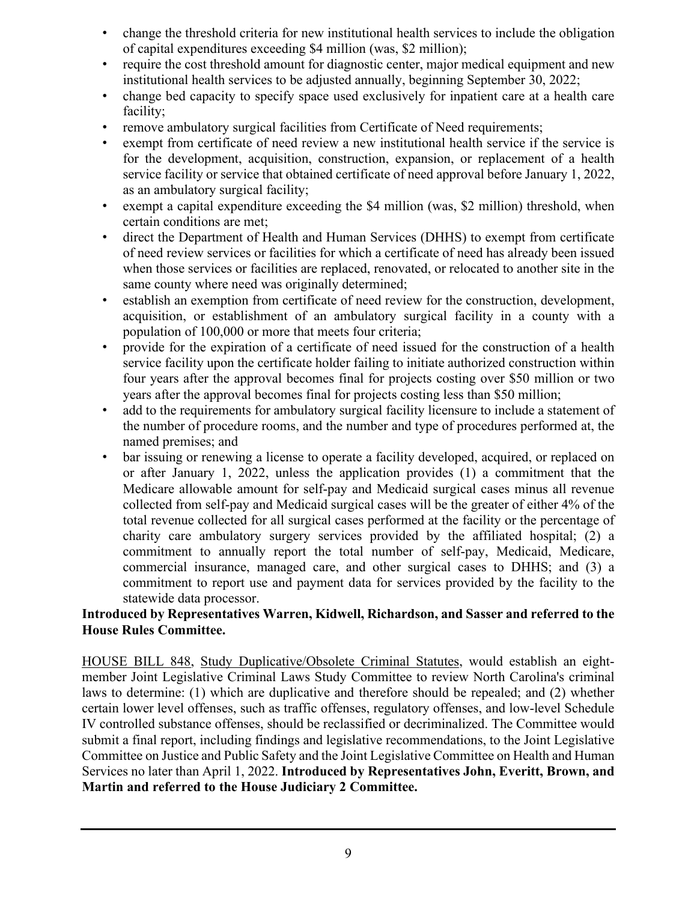- change the threshold criteria for new institutional health services to include the obligation of capital expenditures exceeding \$4 million (was, \$2 million);
- require the cost threshold amount for diagnostic center, major medical equipment and new institutional health services to be adjusted annually, beginning September 30, 2022;
- change bed capacity to specify space used exclusively for inpatient care at a health care facility;
- remove ambulatory surgical facilities from Certificate of Need requirements;
- exempt from certificate of need review a new institutional health service if the service is for the development, acquisition, construction, expansion, or replacement of a health service facility or service that obtained certificate of need approval before January 1, 2022, as an ambulatory surgical facility;
- exempt a capital expenditure exceeding the \$4 million (was, \$2 million) threshold, when certain conditions are met;
- direct the Department of Health and Human Services (DHHS) to exempt from certificate of need review services or facilities for which a certificate of need has already been issued when those services or facilities are replaced, renovated, or relocated to another site in the same county where need was originally determined;
- establish an exemption from certificate of need review for the construction, development, acquisition, or establishment of an ambulatory surgical facility in a county with a population of 100,000 or more that meets four criteria;
- provide for the expiration of a certificate of need issued for the construction of a health service facility upon the certificate holder failing to initiate authorized construction within four years after the approval becomes final for projects costing over \$50 million or two years after the approval becomes final for projects costing less than \$50 million;
- add to the requirements for ambulatory surgical facility licensure to include a statement of the number of procedure rooms, and the number and type of procedures performed at, the named premises; and
- bar issuing or renewing a license to operate a facility developed, acquired, or replaced on or after January 1, 2022, unless the application provides (1) a commitment that the Medicare allowable amount for self-pay and Medicaid surgical cases minus all revenue collected from self-pay and Medicaid surgical cases will be the greater of either 4% of the total revenue collected for all surgical cases performed at the facility or the percentage of charity care ambulatory surgery services provided by the affiliated hospital; (2) a commitment to annually report the total number of self-pay, Medicaid, Medicare, commercial insurance, managed care, and other surgical cases to DHHS; and (3) a commitment to report use and payment data for services provided by the facility to the statewide data processor.

#### **Introduced by Representatives Warren, Kidwell, Richardson, and Sasser and referred to the House Rules Committee.**

HOUSE BILL 848, Study Duplicative/Obsolete Criminal Statutes, would establish an eightmember Joint Legislative Criminal Laws Study Committee to review North Carolina's criminal laws to determine: (1) which are duplicative and therefore should be repealed; and (2) whether certain lower level offenses, such as traffic offenses, regulatory offenses, and low-level Schedule IV controlled substance offenses, should be reclassified or decriminalized. The Committee would submit a final report, including findings and legislative recommendations, to the Joint Legislative Committee on Justice and Public Safety and the Joint Legislative Committee on Health and Human Services no later than April 1, 2022. **Introduced by Representatives John, Everitt, Brown, and Martin and referred to the House Judiciary 2 Committee.**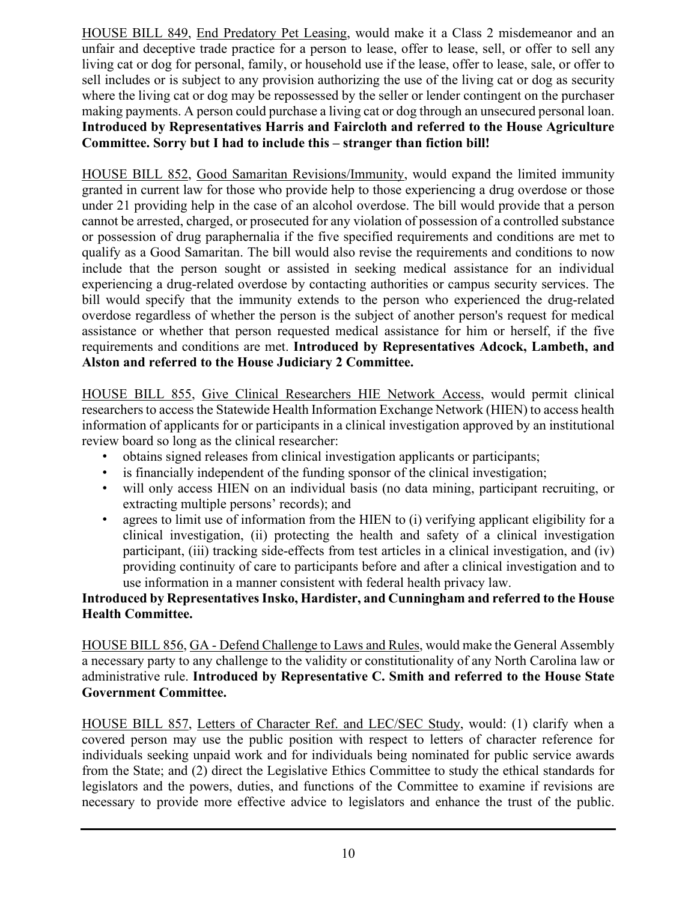HOUSE BILL 849, End Predatory Pet Leasing, would make it a Class 2 misdemeanor and an unfair and deceptive trade practice for a person to lease, offer to lease, sell, or offer to sell any living cat or dog for personal, family, or household use if the lease, offer to lease, sale, or offer to sell includes or is subject to any provision authorizing the use of the living cat or dog as security where the living cat or dog may be repossessed by the seller or lender contingent on the purchaser making payments. A person could purchase a living cat or dog through an unsecured personal loan. **Introduced by Representatives Harris and Faircloth and referred to the House Agriculture Committee. Sorry but I had to include this – stranger than fiction bill!**

HOUSE BILL 852, Good Samaritan Revisions/Immunity, would expand the limited immunity granted in current law for those who provide help to those experiencing a drug overdose or those under 21 providing help in the case of an alcohol overdose. The bill would provide that a person cannot be arrested, charged, or prosecuted for any violation of possession of a controlled substance or possession of drug paraphernalia if the five specified requirements and conditions are met to qualify as a Good Samaritan. The bill would also revise the requirements and conditions to now include that the person sought or assisted in seeking medical assistance for an individual experiencing a drug-related overdose by contacting authorities or campus security services. The bill would specify that the immunity extends to the person who experienced the drug-related overdose regardless of whether the person is the subject of another person's request for medical assistance or whether that person requested medical assistance for him or herself, if the five requirements and conditions are met. **Introduced by Representatives Adcock, Lambeth, and Alston and referred to the House Judiciary 2 Committee.**

HOUSE BILL 855, Give Clinical Researchers HIE Network Access, would permit clinical researchers to access the Statewide Health Information Exchange Network (HIEN) to access health information of applicants for or participants in a clinical investigation approved by an institutional review board so long as the clinical researcher:

- obtains signed releases from clinical investigation applicants or participants;
- is financially independent of the funding sponsor of the clinical investigation;
- will only access HIEN on an individual basis (no data mining, participant recruiting, or extracting multiple persons' records); and
- agrees to limit use of information from the HIEN to (i) verifying applicant eligibility for a clinical investigation, (ii) protecting the health and safety of a clinical investigation participant, (iii) tracking side-effects from test articles in a clinical investigation, and (iv) providing continuity of care to participants before and after a clinical investigation and to use information in a manner consistent with federal health privacy law.

## **Introduced by Representatives Insko, Hardister, and Cunningham and referred to the House Health Committee.**

HOUSE BILL 856, GA - Defend Challenge to Laws and Rules, would make the General Assembly a necessary party to any challenge to the validity or constitutionality of any North Carolina law or administrative rule. **Introduced by Representative C. Smith and referred to the House State Government Committee.**

HOUSE BILL 857, Letters of Character Ref. and LEC/SEC Study, would: (1) clarify when a covered person may use the public position with respect to letters of character reference for individuals seeking unpaid work and for individuals being nominated for public service awards from the State; and (2) direct the Legislative Ethics Committee to study the ethical standards for legislators and the powers, duties, and functions of the Committee to examine if revisions are necessary to provide more effective advice to legislators and enhance the trust of the public.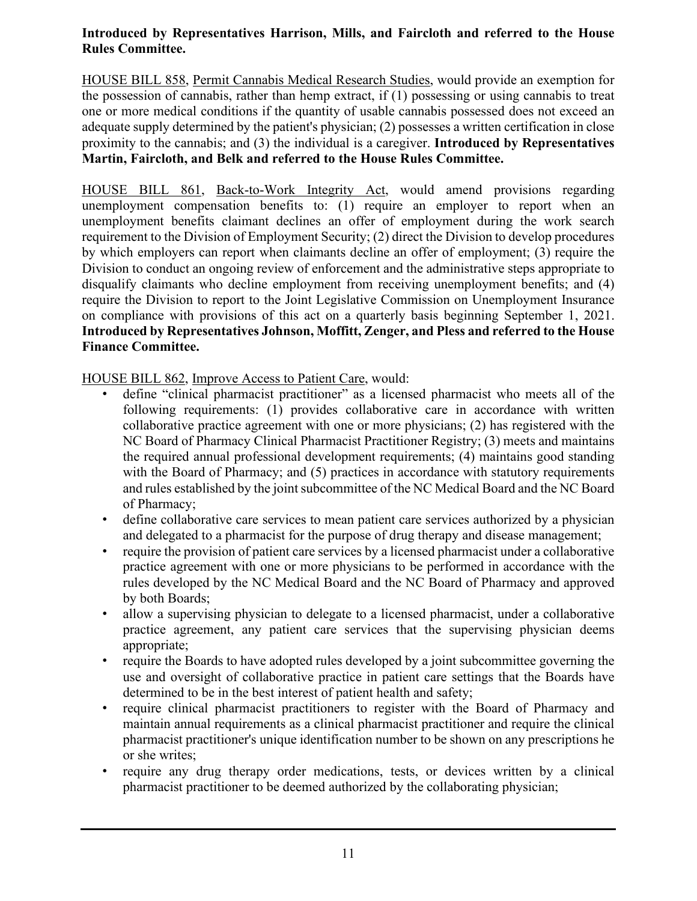#### **Introduced by Representatives Harrison, Mills, and Faircloth and referred to the House Rules Committee.**

HOUSE BILL 858, Permit Cannabis Medical Research Studies, would provide an exemption for the possession of cannabis, rather than hemp extract, if (1) possessing or using cannabis to treat one or more medical conditions if the quantity of usable cannabis possessed does not exceed an adequate supply determined by the patient's physician; (2) possesses a written certification in close proximity to the cannabis; and (3) the individual is a caregiver. **Introduced by Representatives Martin, Faircloth, and Belk and referred to the House Rules Committee.**

HOUSE BILL 861, Back-to-Work Integrity Act, would amend provisions regarding unemployment compensation benefits to: (1) require an employer to report when an unemployment benefits claimant declines an offer of employment during the work search requirement to the Division of Employment Security; (2) direct the Division to develop procedures by which employers can report when claimants decline an offer of employment; (3) require the Division to conduct an ongoing review of enforcement and the administrative steps appropriate to disqualify claimants who decline employment from receiving unemployment benefits; and (4) require the Division to report to the Joint Legislative Commission on Unemployment Insurance on compliance with provisions of this act on a quarterly basis beginning September 1, 2021. **Introduced by Representatives Johnson, Moffitt, Zenger, and Pless and referred to the House Finance Committee.**

HOUSE BILL 862, Improve Access to Patient Care, would:

- define "clinical pharmacist practitioner" as a licensed pharmacist who meets all of the following requirements: (1) provides collaborative care in accordance with written collaborative practice agreement with one or more physicians; (2) has registered with the NC Board of Pharmacy Clinical Pharmacist Practitioner Registry; (3) meets and maintains the required annual professional development requirements; (4) maintains good standing with the Board of Pharmacy; and (5) practices in accordance with statutory requirements and rules established by the joint subcommittee of the NC Medical Board and the NC Board of Pharmacy;
- define collaborative care services to mean patient care services authorized by a physician and delegated to a pharmacist for the purpose of drug therapy and disease management;
- require the provision of patient care services by a licensed pharmacist under a collaborative practice agreement with one or more physicians to be performed in accordance with the rules developed by the NC Medical Board and the NC Board of Pharmacy and approved by both Boards;
- allow a supervising physician to delegate to a licensed pharmacist, under a collaborative practice agreement, any patient care services that the supervising physician deems appropriate;
- require the Boards to have adopted rules developed by a joint subcommittee governing the use and oversight of collaborative practice in patient care settings that the Boards have determined to be in the best interest of patient health and safety;
- require clinical pharmacist practitioners to register with the Board of Pharmacy and maintain annual requirements as a clinical pharmacist practitioner and require the clinical pharmacist practitioner's unique identification number to be shown on any prescriptions he or she writes;
- require any drug therapy order medications, tests, or devices written by a clinical pharmacist practitioner to be deemed authorized by the collaborating physician;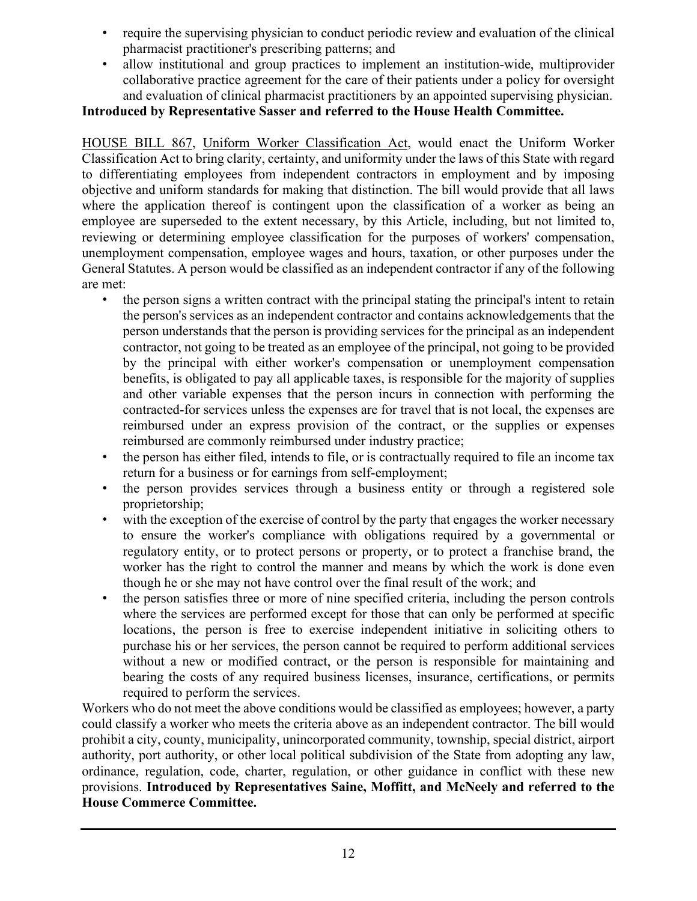- require the supervising physician to conduct periodic review and evaluation of the clinical pharmacist practitioner's prescribing patterns; and
- allow institutional and group practices to implement an institution-wide, multiprovider collaborative practice agreement for the care of their patients under a policy for oversight and evaluation of clinical pharmacist practitioners by an appointed supervising physician.

#### **Introduced by Representative Sasser and referred to the House Health Committee.**

HOUSE BILL 867, Uniform Worker Classification Act, would enact the Uniform Worker Classification Act to bring clarity, certainty, and uniformity under the laws of this State with regard to differentiating employees from independent contractors in employment and by imposing objective and uniform standards for making that distinction. The bill would provide that all laws where the application thereof is contingent upon the classification of a worker as being an employee are superseded to the extent necessary, by this Article, including, but not limited to, reviewing or determining employee classification for the purposes of workers' compensation, unemployment compensation, employee wages and hours, taxation, or other purposes under the General Statutes. A person would be classified as an independent contractor if any of the following are met:

- the person signs a written contract with the principal stating the principal's intent to retain the person's services as an independent contractor and contains acknowledgements that the person understands that the person is providing services for the principal as an independent contractor, not going to be treated as an employee of the principal, not going to be provided by the principal with either worker's compensation or unemployment compensation benefits, is obligated to pay all applicable taxes, is responsible for the majority of supplies and other variable expenses that the person incurs in connection with performing the contracted-for services unless the expenses are for travel that is not local, the expenses are reimbursed under an express provision of the contract, or the supplies or expenses reimbursed are commonly reimbursed under industry practice;
- the person has either filed, intends to file, or is contractually required to file an income tax return for a business or for earnings from self-employment;
- the person provides services through a business entity or through a registered sole proprietorship;
- with the exception of the exercise of control by the party that engages the worker necessary to ensure the worker's compliance with obligations required by a governmental or regulatory entity, or to protect persons or property, or to protect a franchise brand, the worker has the right to control the manner and means by which the work is done even though he or she may not have control over the final result of the work; and
- the person satisfies three or more of nine specified criteria, including the person controls where the services are performed except for those that can only be performed at specific locations, the person is free to exercise independent initiative in soliciting others to purchase his or her services, the person cannot be required to perform additional services without a new or modified contract, or the person is responsible for maintaining and bearing the costs of any required business licenses, insurance, certifications, or permits required to perform the services.

Workers who do not meet the above conditions would be classified as employees; however, a party could classify a worker who meets the criteria above as an independent contractor. The bill would prohibit a city, county, municipality, unincorporated community, township, special district, airport authority, port authority, or other local political subdivision of the State from adopting any law, ordinance, regulation, code, charter, regulation, or other guidance in conflict with these new provisions. **Introduced by Representatives Saine, Moffitt, and McNeely and referred to the House Commerce Committee.**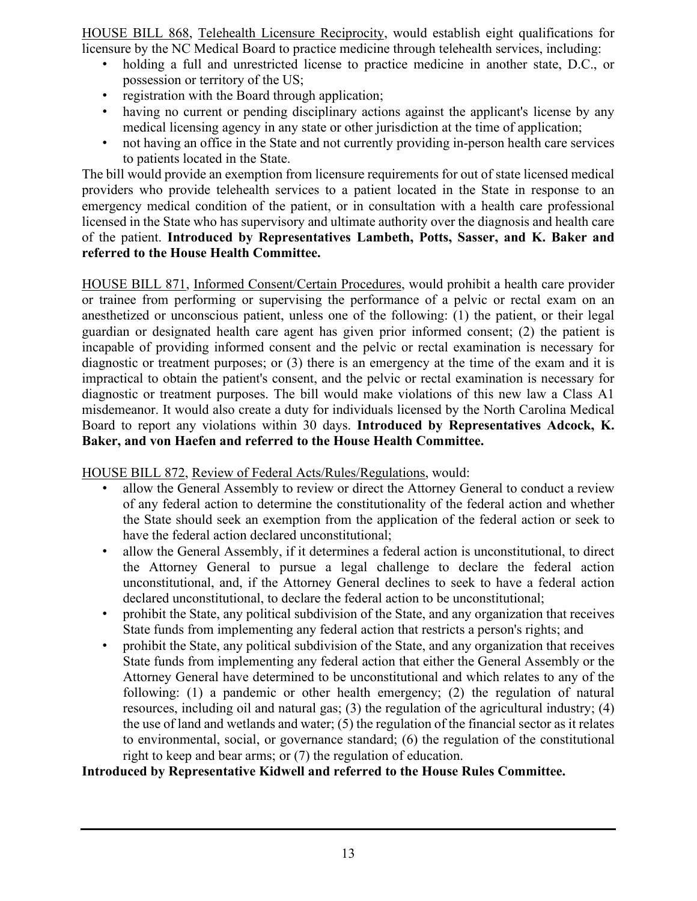HOUSE BILL 868, Telehealth Licensure Reciprocity, would establish eight qualifications for licensure by the NC Medical Board to practice medicine through telehealth services, including:

- holding a full and unrestricted license to practice medicine in another state, D.C., or possession or territory of the US;
- registration with the Board through application;
- having no current or pending disciplinary actions against the applicant's license by any medical licensing agency in any state or other jurisdiction at the time of application;
- not having an office in the State and not currently providing in-person health care services to patients located in the State.

The bill would provide an exemption from licensure requirements for out of state licensed medical providers who provide telehealth services to a patient located in the State in response to an emergency medical condition of the patient, or in consultation with a health care professional licensed in the State who has supervisory and ultimate authority over the diagnosis and health care of the patient. **Introduced by Representatives Lambeth, Potts, Sasser, and K. Baker and referred to the House Health Committee.**

HOUSE BILL 871, Informed Consent/Certain Procedures, would prohibit a health care provider or trainee from performing or supervising the performance of a pelvic or rectal exam on an anesthetized or unconscious patient, unless one of the following: (1) the patient, or their legal guardian or designated health care agent has given prior informed consent; (2) the patient is incapable of providing informed consent and the pelvic or rectal examination is necessary for diagnostic or treatment purposes; or (3) there is an emergency at the time of the exam and it is impractical to obtain the patient's consent, and the pelvic or rectal examination is necessary for diagnostic or treatment purposes. The bill would make violations of this new law a Class A1 misdemeanor. It would also create a duty for individuals licensed by the North Carolina Medical Board to report any violations within 30 days. **Introduced by Representatives Adcock, K. Baker, and von Haefen and referred to the House Health Committee.**

HOUSE BILL 872, Review of Federal Acts/Rules/Regulations, would:

- allow the General Assembly to review or direct the Attorney General to conduct a review of any federal action to determine the constitutionality of the federal action and whether the State should seek an exemption from the application of the federal action or seek to have the federal action declared unconstitutional;
- allow the General Assembly, if it determines a federal action is unconstitutional, to direct the Attorney General to pursue a legal challenge to declare the federal action unconstitutional, and, if the Attorney General declines to seek to have a federal action declared unconstitutional, to declare the federal action to be unconstitutional;
- prohibit the State, any political subdivision of the State, and any organization that receives State funds from implementing any federal action that restricts a person's rights; and
- prohibit the State, any political subdivision of the State, and any organization that receives State funds from implementing any federal action that either the General Assembly or the Attorney General have determined to be unconstitutional and which relates to any of the following: (1) a pandemic or other health emergency; (2) the regulation of natural resources, including oil and natural gas; (3) the regulation of the agricultural industry; (4) the use of land and wetlands and water; (5) the regulation of the financial sector as it relates to environmental, social, or governance standard; (6) the regulation of the constitutional right to keep and bear arms; or (7) the regulation of education.

### **Introduced by Representative Kidwell and referred to the House Rules Committee.**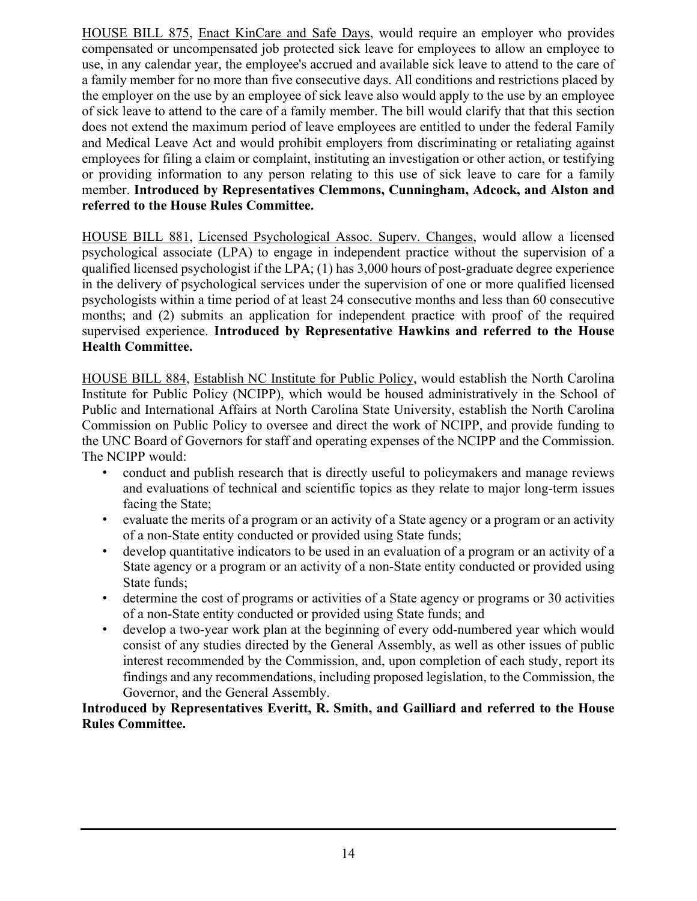HOUSE BILL 875, Enact KinCare and Safe Days, would require an employer who provides compensated or uncompensated job protected sick leave for employees to allow an employee to use, in any calendar year, the employee's accrued and available sick leave to attend to the care of a family member for no more than five consecutive days. All conditions and restrictions placed by the employer on the use by an employee of sick leave also would apply to the use by an employee of sick leave to attend to the care of a family member. The bill would clarify that that this section does not extend the maximum period of leave employees are entitled to under the federal Family and Medical Leave Act and would prohibit employers from discriminating or retaliating against employees for filing a claim or complaint, instituting an investigation or other action, or testifying or providing information to any person relating to this use of sick leave to care for a family member. **Introduced by Representatives Clemmons, Cunningham, Adcock, and Alston and referred to the House Rules Committee.** 

HOUSE BILL 881, Licensed Psychological Assoc. Superv. Changes, would allow a licensed psychological associate (LPA) to engage in independent practice without the supervision of a qualified licensed psychologist if the LPA; (1) has 3,000 hours of post-graduate degree experience in the delivery of psychological services under the supervision of one or more qualified licensed psychologists within a time period of at least 24 consecutive months and less than 60 consecutive months; and (2) submits an application for independent practice with proof of the required supervised experience. **Introduced by Representative Hawkins and referred to the House Health Committee.**

HOUSE BILL 884, Establish NC Institute for Public Policy, would establish the North Carolina Institute for Public Policy (NCIPP), which would be housed administratively in the School of Public and International Affairs at North Carolina State University, establish the North Carolina Commission on Public Policy to oversee and direct the work of NCIPP, and provide funding to the UNC Board of Governors for staff and operating expenses of the NCIPP and the Commission. The NCIPP would:

- conduct and publish research that is directly useful to policymakers and manage reviews and evaluations of technical and scientific topics as they relate to major long-term issues facing the State;
- evaluate the merits of a program or an activity of a State agency or a program or an activity of a non-State entity conducted or provided using State funds;
- develop quantitative indicators to be used in an evaluation of a program or an activity of a State agency or a program or an activity of a non-State entity conducted or provided using State funds;
- determine the cost of programs or activities of a State agency or programs or 30 activities of a non-State entity conducted or provided using State funds; and
- develop a two-year work plan at the beginning of every odd-numbered year which would consist of any studies directed by the General Assembly, as well as other issues of public interest recommended by the Commission, and, upon completion of each study, report its findings and any recommendations, including proposed legislation, to the Commission, the Governor, and the General Assembly.

#### **Introduced by Representatives Everitt, R. Smith, and Gailliard and referred to the House Rules Committee.**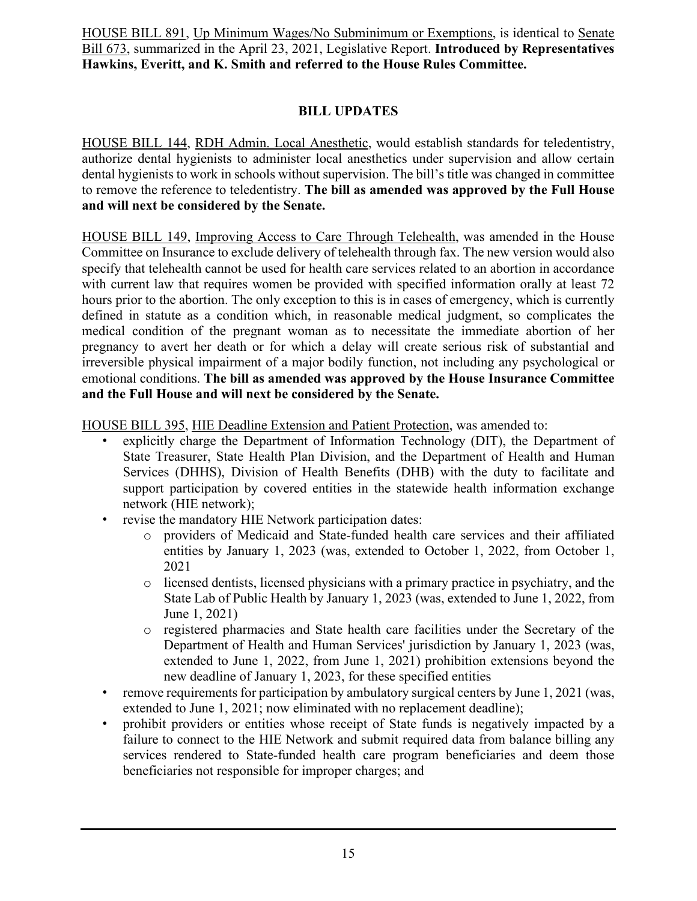HOUSE BILL 891, Up Minimum Wages/No Subminimum or Exemptions, is identical to Senate Bill 673, summarized in the April 23, 2021, Legislative Report. **Introduced by Representatives Hawkins, Everitt, and K. Smith and referred to the House Rules Committee.**

#### **BILL UPDATES**

HOUSE BILL 144, RDH Admin. Local Anesthetic, would establish standards for teledentistry, authorize dental hygienists to administer local anesthetics under supervision and allow certain dental hygienists to work in schools without supervision. The bill's title was changed in committee to remove the reference to teledentistry. **The bill as amended was approved by the Full House and will next be considered by the Senate.**

HOUSE BILL 149, Improving Access to Care Through Telehealth, was amended in the House Committee on Insurance to exclude delivery of telehealth through fax. The new version would also specify that telehealth cannot be used for health care services related to an abortion in accordance with current law that requires women be provided with specified information orally at least 72 hours prior to the abortion. The only exception to this is in cases of emergency, which is currently defined in statute as a condition which, in reasonable medical judgment, so complicates the medical condition of the pregnant woman as to necessitate the immediate abortion of her pregnancy to avert her death or for which a delay will create serious risk of substantial and irreversible physical impairment of a major bodily function, not including any psychological or emotional conditions. **The bill as amended was approved by the House Insurance Committee and the Full House and will next be considered by the Senate.** 

HOUSE BILL 395, HIE Deadline Extension and Patient Protection, was amended to:

- explicitly charge the Department of Information Technology (DIT), the Department of State Treasurer, State Health Plan Division, and the Department of Health and Human Services (DHHS), Division of Health Benefits (DHB) with the duty to facilitate and support participation by covered entities in the statewide health information exchange network (HIE network);
- revise the mandatory HIE Network participation dates:
	- o providers of Medicaid and State-funded health care services and their affiliated entities by January 1, 2023 (was, extended to October 1, 2022, from October 1, 2021
	- o licensed dentists, licensed physicians with a primary practice in psychiatry, and the State Lab of Public Health by January 1, 2023 (was, extended to June 1, 2022, from June 1, 2021)
	- o registered pharmacies and State health care facilities under the Secretary of the Department of Health and Human Services' jurisdiction by January 1, 2023 (was, extended to June 1, 2022, from June 1, 2021) prohibition extensions beyond the new deadline of January 1, 2023, for these specified entities
- remove requirements for participation by ambulatory surgical centers by June 1, 2021 (was, extended to June 1, 2021; now eliminated with no replacement deadline);
- prohibit providers or entities whose receipt of State funds is negatively impacted by a failure to connect to the HIE Network and submit required data from balance billing any services rendered to State-funded health care program beneficiaries and deem those beneficiaries not responsible for improper charges; and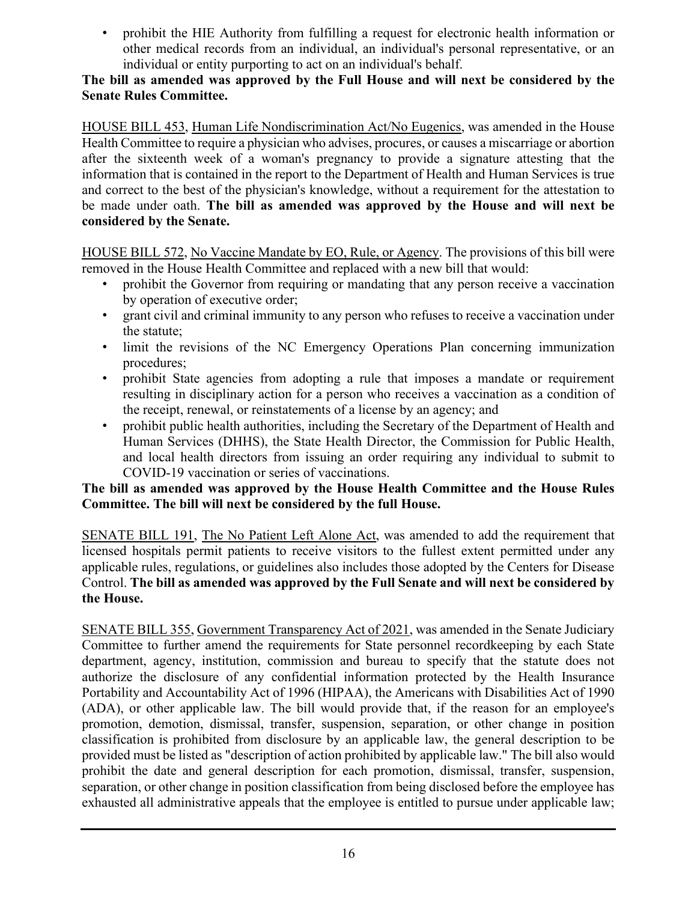• prohibit the HIE Authority from fulfilling a request for electronic health information or other medical records from an individual, an individual's personal representative, or an individual or entity purporting to act on an individual's behalf.

#### **The bill as amended was approved by the Full House and will next be considered by the Senate Rules Committee.**

HOUSE BILL 453, Human Life Nondiscrimination Act/No Eugenics, was amended in the House Health Committee to require a physician who advises, procures, or causes a miscarriage or abortion after the sixteenth week of a woman's pregnancy to provide a signature attesting that the information that is contained in the report to the Department of Health and Human Services is true and correct to the best of the physician's knowledge, without a requirement for the attestation to be made under oath. **The bill as amended was approved by the House and will next be considered by the Senate.** 

HOUSE BILL 572, No Vaccine Mandate by EO, Rule, or Agency. The provisions of this bill were removed in the House Health Committee and replaced with a new bill that would:

- prohibit the Governor from requiring or mandating that any person receive a vaccination by operation of executive order;
- grant civil and criminal immunity to any person who refuses to receive a vaccination under the statute;
- limit the revisions of the NC Emergency Operations Plan concerning immunization procedures;
- prohibit State agencies from adopting a rule that imposes a mandate or requirement resulting in disciplinary action for a person who receives a vaccination as a condition of the receipt, renewal, or reinstatements of a license by an agency; and
- prohibit public health authorities, including the Secretary of the Department of Health and Human Services (DHHS), the State Health Director, the Commission for Public Health, and local health directors from issuing an order requiring any individual to submit to COVID-19 vaccination or series of vaccinations.

#### **The bill as amended was approved by the House Health Committee and the House Rules Committee. The bill will next be considered by the full House.**

SENATE BILL 191, The No Patient Left Alone Act, was amended to add the requirement that licensed hospitals permit patients to receive visitors to the fullest extent permitted under any applicable rules, regulations, or guidelines also includes those adopted by the Centers for Disease Control. **The bill as amended was approved by the Full Senate and will next be considered by the House.** 

SENATE BILL 355, Government Transparency Act of 2021, was amended in the Senate Judiciary Committee to further amend the requirements for State personnel recordkeeping by each State department, agency, institution, commission and bureau to specify that the statute does not authorize the disclosure of any confidential information protected by the Health Insurance Portability and Accountability Act of 1996 (HIPAA), the Americans with Disabilities Act of 1990 (ADA), or other applicable law. The bill would provide that, if the reason for an employee's promotion, demotion, dismissal, transfer, suspension, separation, or other change in position classification is prohibited from disclosure by an applicable law, the general description to be provided must be listed as "description of action prohibited by applicable law." The bill also would prohibit the date and general description for each promotion, dismissal, transfer, suspension, separation, or other change in position classification from being disclosed before the employee has exhausted all administrative appeals that the employee is entitled to pursue under applicable law;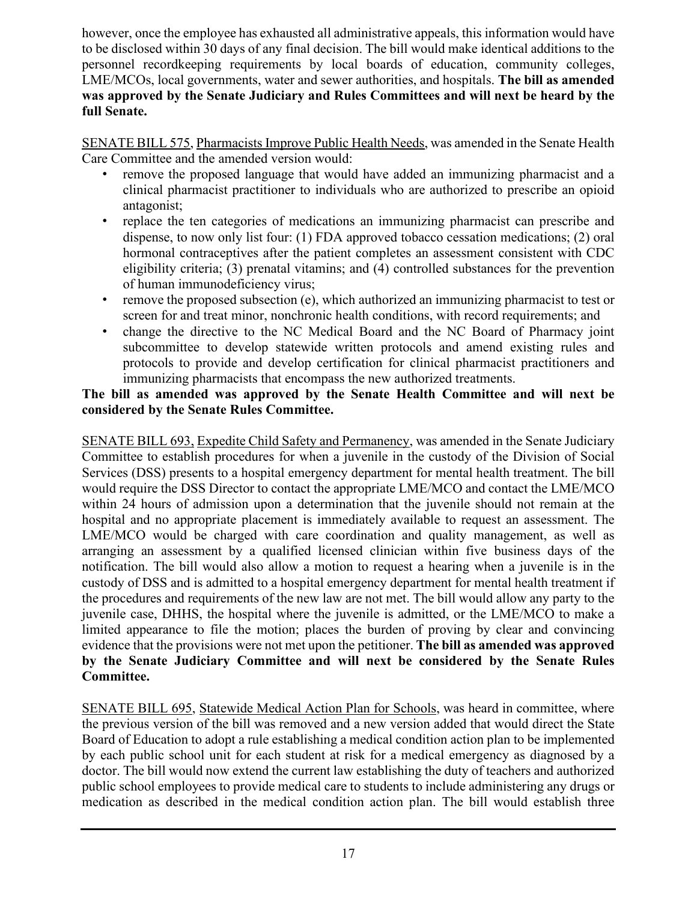however, once the employee has exhausted all administrative appeals, this information would have to be disclosed within 30 days of any final decision. The bill would make identical additions to the personnel recordkeeping requirements by local boards of education, community colleges, LME/MCOs, local governments, water and sewer authorities, and hospitals. **The bill as amended was approved by the Senate Judiciary and Rules Committees and will next be heard by the full Senate.**

SENATE BILL 575, Pharmacists Improve Public Health Needs, was amended in the Senate Health Care Committee and the amended version would:

- remove the proposed language that would have added an immunizing pharmacist and a clinical pharmacist practitioner to individuals who are authorized to prescribe an opioid antagonist;
- replace the ten categories of medications an immunizing pharmacist can prescribe and dispense, to now only list four: (1) FDA approved tobacco cessation medications; (2) oral hormonal contraceptives after the patient completes an assessment consistent with CDC eligibility criteria; (3) prenatal vitamins; and (4) controlled substances for the prevention of human immunodeficiency virus;
- remove the proposed subsection (e), which authorized an immunizing pharmacist to test or screen for and treat minor, nonchronic health conditions, with record requirements; and
- change the directive to the NC Medical Board and the NC Board of Pharmacy joint subcommittee to develop statewide written protocols and amend existing rules and protocols to provide and develop certification for clinical pharmacist practitioners and immunizing pharmacists that encompass the new authorized treatments.

#### **The bill as amended was approved by the Senate Health Committee and will next be considered by the Senate Rules Committee.**

SENATE BILL 693, Expedite Child Safety and Permanency, was amended in the Senate Judiciary Committee to establish procedures for when a juvenile in the custody of the Division of Social Services (DSS) presents to a hospital emergency department for mental health treatment. The bill would require the DSS Director to contact the appropriate LME/MCO and contact the LME/MCO within 24 hours of admission upon a determination that the juvenile should not remain at the hospital and no appropriate placement is immediately available to request an assessment. The LME/MCO would be charged with care coordination and quality management, as well as arranging an assessment by a qualified licensed clinician within five business days of the notification. The bill would also allow a motion to request a hearing when a juvenile is in the custody of DSS and is admitted to a hospital emergency department for mental health treatment if the procedures and requirements of the new law are not met. The bill would allow any party to the juvenile case, DHHS, the hospital where the juvenile is admitted, or the LME/MCO to make a limited appearance to file the motion; places the burden of proving by clear and convincing evidence that the provisions were not met upon the petitioner. **The bill as amended was approved by the Senate Judiciary Committee and will next be considered by the Senate Rules Committee.**

SENATE BILL 695, Statewide Medical Action Plan for Schools, was heard in committee, where the previous version of the bill was removed and a new version added that would direct the State Board of Education to adopt a rule establishing a medical condition action plan to be implemented by each public school unit for each student at risk for a medical emergency as diagnosed by a doctor. The bill would now extend the current law establishing the duty of teachers and authorized public school employees to provide medical care to students to include administering any drugs or medication as described in the medical condition action plan. The bill would establish three